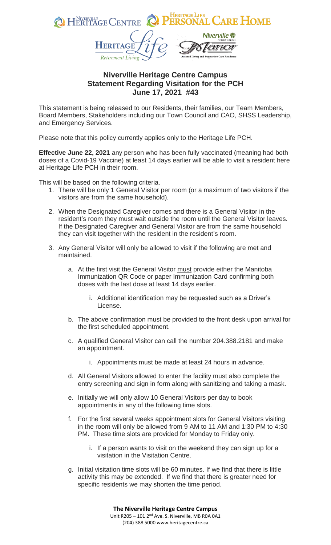

## **Niverville Heritage Centre Campus Statement Regarding Visitation for the PCH June 17, 2021 #43**

This statement is being released to our Residents, their families, our Team Members, Board Members, Stakeholders including our Town Council and CAO, SHSS Leadership, and Emergency Services.

Please note that this policy currently applies only to the Heritage Life PCH.

**Effective June 22, 2021** any person who has been fully vaccinated (meaning had both doses of a Covid-19 Vaccine) at least 14 days earlier will be able to visit a resident here at Heritage Life PCH in their room.

This will be based on the following criteria.

- 1. There will be only 1 General Visitor per room (or a maximum of two visitors if the visitors are from the same household).
- 2. When the Designated Caregiver comes and there is a General Visitor in the resident's room they must wait outside the room until the General Visitor leaves. If the Designated Caregiver and General Visitor are from the same household they can visit together with the resident in the resident's room.
- 3. Any General Visitor will only be allowed to visit if the following are met and maintained.
	- a. At the first visit the General Visitor must provide either the Manitoba Immunization QR Code or paper Immunization Card confirming both doses with the last dose at least 14 days earlier.
		- i. Additional identification may be requested such as a Driver's License.
	- b. The above confirmation must be provided to the front desk upon arrival for the first scheduled appointment.
	- c. A qualified General Visitor can call the number 204.388.2181 and make an appointment.
		- i. Appointments must be made at least 24 hours in advance.
	- d. All General Visitors allowed to enter the facility must also complete the entry screening and sign in form along with sanitizing and taking a mask.
	- e. Initially we will only allow 10 General Visitors per day to book appointments in any of the following time slots.
	- f. For the first several weeks appointment slots for General Visitors visiting in the room will only be allowed from 9 AM to 11 AM and 1:30 PM to 4:30 PM. These time slots are provided for Monday to Friday only.
		- i. If a person wants to visit on the weekend they can sign up for a visitation in the Visitation Centre.
	- g. Initial visitation time slots will be 60 minutes. If we find that there is little activity this may be extended. If we find that there is greater need for specific residents we may shorten the time period.